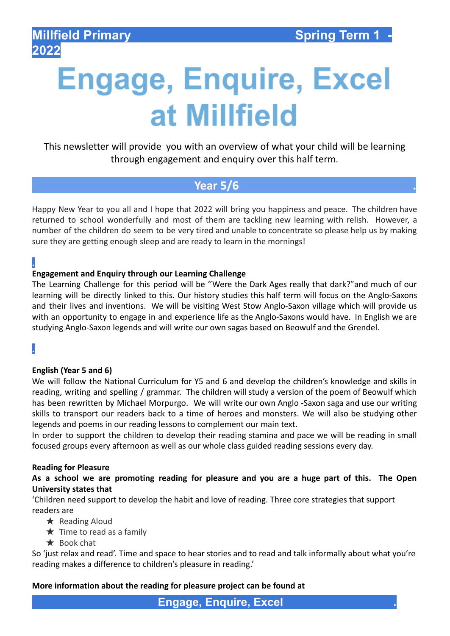# **Engage, Enquire, Excel** at Millfield

This newsletter will provide you with an overview of what your child will be learning through engagement and enquiry over this half term*.*

## **Year 5/6 .**

Happy New Year to you all and I hope that 2022 will bring you happiness and peace. The children have returned to school wonderfully and most of them are tackling new learning with relish. However, a number of the children do seem to be very tired and unable to concentrate so please help us by making sure they are getting enough sleep and are ready to learn in the mornings!

## **.**

#### **Engagement and Enquiry through our Learning Challenge**

The Learning Challenge for this period will be ''Were the Dark Ages really that dark?"and much of our learning will be directly linked to this. Our history studies this half term will focus on the Anglo-Saxons and their lives and inventions. We will be visiting West Stow Anglo-Saxon village which will provide us with an opportunity to engage in and experience life as the Anglo-Saxons would have. In English we are studying Anglo-Saxon legends and will write our own sagas based on Beowulf and the Grendel.

# **.**

#### **English (Year 5 and 6)**

We will follow the National Curriculum for Y5 and 6 and develop the children's knowledge and skills in reading, writing and spelling / grammar. The children will study a version of the poem of Beowulf which has been rewritten by Michael Morpurgo. We will write our own Anglo -Saxon saga and use our writing skills to transport our readers back to a time of heroes and monsters. We will also be studying other legends and poems in our reading lessons to complement our main text.

In order to support the children to develop their reading stamina and pace we will be reading in small focused groups every afternoon as well as our whole class guided reading sessions every day.

#### **Reading for Pleasure**

#### **As a school we are promoting reading for pleasure and you are a huge part of this. The Open University states that**

'Children need support to develop the habit and love of reading. Three core strategies that support readers are

- $\star$  Reading Aloud
- $\bigstar$  Time to read as a family
- ★ Book chat

So 'just relax and read'. Time and space to hear stories and to read and talk informally about what you're reading makes a difference to children's pleasure in reading.'

#### **More information about the reading for pleasure project can be found at**

**Engage, Enquire, Excel .**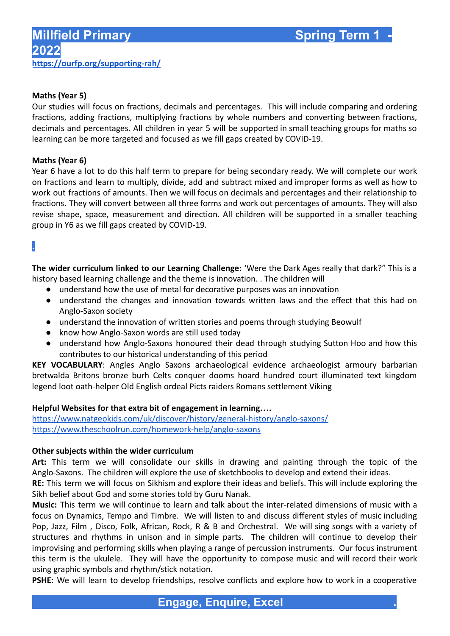#### **Maths (Year 5)**

Our studies will focus on fractions, decimals and percentages. This will include comparing and ordering fractions, adding fractions, multiplying fractions by whole numbers and converting between fractions, decimals and percentages. All children in year 5 will be supported in small teaching groups for maths so learning can be more targeted and focused as we fill gaps created by COVID-19.

#### **Maths (Year 6)**

Year 6 have a lot to do this half term to prepare for being secondary ready. We will complete our work on fractions and learn to multiply, divide, add and subtract mixed and improper forms as well as how to work out fractions of amounts. Then we will focus on decimals and percentages and their relationship to fractions. They will convert between all three forms and work out percentages of amounts. They will also revise shape, space, measurement and direction. All children will be supported in a smaller teaching group in Y6 as we fill gaps created by COVID-19.

## **.**

**The wider curriculum linked to our Learning Challenge:** 'Were the Dark Ages really that dark?" This is a history based learning challenge and the theme is innovation. . The children will

- understand how the use of metal for decorative purposes was an innovation
- understand the changes and innovation towards written laws and the effect that this had on Anglo-Saxon society
- understand the innovation of written stories and poems through studying Beowulf
- know how Anglo-Saxon words are still used today
- understand how Anglo-Saxons honoured their dead through studying Sutton Hoo and how this contributes to our historical understanding of this period

**KEY VOCABULARY**: Angles Anglo Saxons archaeological evidence archaeologist armoury barbarian bretwalda Britons bronze burh Celts conquer dooms hoard hundred court illuminated text kingdom legend loot oath-helper Old English ordeal Picts raiders Romans settlement Viking

#### **Helpful Websites for that extra bit of engagement in learning….**

<https://www.natgeokids.com/uk/discover/history/general-history/anglo-saxons/> <https://www.theschoolrun.com/homework-help/anglo-saxons>

#### **Other subjects within the wider curriculum**

**Art:** This term we will consolidate our skills in drawing and painting through the topic of the Anglo-Saxons. The children will explore the use of sketchbooks to develop and extend their ideas.

**RE:** This term we will focus on Sikhism and explore their ideas and beliefs. This will include exploring the Sikh belief about God and some stories told by Guru Nanak.

**Music:** This term we will continue to learn and talk about the inter-related dimensions of music with a focus on Dynamics, Tempo and Timbre. We will listen to and discuss different styles of music including Pop, Jazz, Film , Disco, Folk, African, Rock, R & B and Orchestral. We will sing songs with a variety of structures and rhythms in unison and in simple parts. The children will continue to develop their improvising and performing skills when playing a range of percussion instruments. Our focus instrument this term is the ukulele. They will have the opportunity to compose music and will record their work using graphic symbols and rhythm/stick notation.

**PSHE**: We will learn to develop friendships, resolve conflicts and explore how to work in a cooperative

**Engage, Enquire, Excel .**